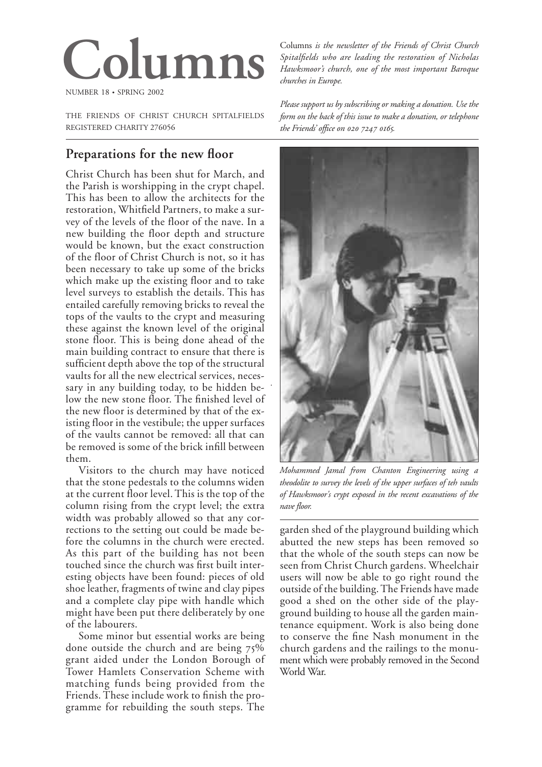# **Columns**

NUMBER 18 • SPRING 2002

THE FRIENDS OF CHRIST CHURCH SPITALFIELDS REGISTERED CHARITY 276056

# **Preparations for the new floor**

Christ Church has been shut for March, and the Parish is worshipping in the crypt chapel. This has been to allow the architects for the restoration, Whitfield Partners, to make a survey of the levels of the floor of the nave. In a new building the floor depth and structure would be known, but the exact construction of the floor of Christ Church is not, so it has been necessary to take up some of the bricks which make up the existing floor and to take level surveys to establish the details. This has entailed carefully removing bricks to reveal the tops of the vaults to the crypt and measuring these against the known level of the original stone floor. This is being done ahead of the main building contract to ensure that there is sufficient depth above the top of the structural vaults for all the new electrical services, necessary in any building today, to be hidden below the new stone floor. The finished level of the new floor is determined by that of the existing floor in the vestibule; the upper surfaces of the vaults cannot be removed: all that can be removed is some of the brick infill between them.

*.*

Visitors to the church may have noticed that the stone pedestals to the columns widen at the current floor level. This is the top of the column rising from the crypt level; the extra width was probably allowed so that any corrections to the setting out could be made before the columns in the church were erected. As this part of the building has not been touched since the church was first built interesting objects have been found: pieces of old shoe leather, fragments of twine and clay pipes and a complete clay pipe with handle which might have been put there deliberately by one of the labourers.

Some minor but essential works are being done outside the church and are being  $75\%$ grant aided under the London Borough of Tower Hamlets Conservation Scheme with matching funds being provided from the Friends. These include work to finish the programme for rebuilding the south steps. The

Columns *is the newsletter of the Friends of Christ Church Spitalfields who are leading the restoration of Nicholas Hawksmoor's church, one of the most important Baroque churches in Europe.*

*Please support us by subscribing or making a donation. Use the form on the back of this issue to make a donation, or telephone the Friends' office on .*



*Mohammed Jamal from Chanton Engineering using a theodolite to survey the levels of the upper surfaces of teh vaults of Hawksmoor's crypt exposed in the recent excavations of the nave floor.*

garden shed of the playground building which abutted the new steps has been removed so that the whole of the south steps can now be seen from Christ Church gardens. Wheelchair users will now be able to go right round the outside of the building. The Friends have made good a shed on the other side of the playground building to house all the garden maintenance equipment. Work is also being done to conserve the fine Nash monument in the church gardens and the railings to the monu ment which were probably removed in the Second World War.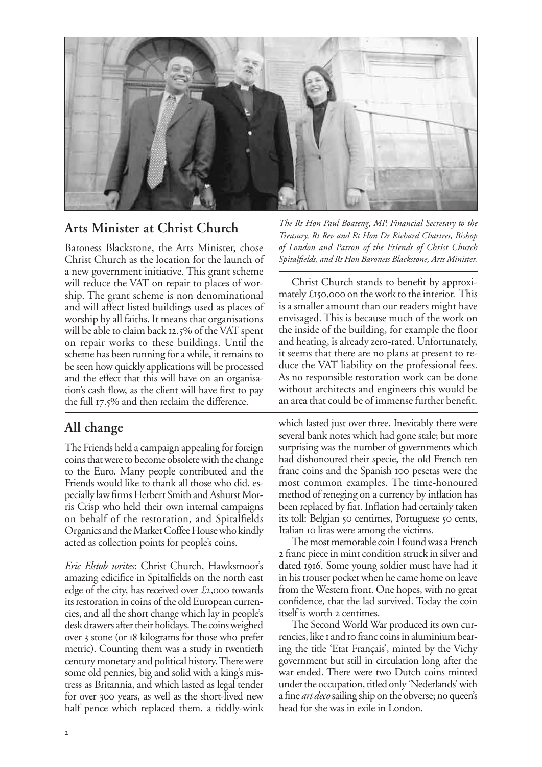

# **Arts Minister at Christ Church**

Baroness Blackstone, the Arts Minister, chose Christ Church as the location for the launch of a new government initiative. This grant scheme will reduce the VAT on repair to places of worship. The grant scheme is non denominational and will affect listed buildings used as places of worship by all faiths. It means that organisations will be able to claim back 12.5% of the VAT spent on repair works to these buildings. Until the scheme has been running for a while, it remains to be seen how quickly applications will be processed and the effect that this will have on an organisation's cash flow, as the client will have first to pay the full  $17.5\%$  and then reclaim the difference.

# **All change**

The Friends held a campaign appealing for foreign coins that were to become obsolete with the change to the Euro. Many people contributed and the Friends would like to thank all those who did, especially law firms Herbert Smith and Ashurst Morris Crisp who held their own internal campaigns on behalf of the restoration, and Spitalfields Organics and the Market Coffee House who kindly acted as collection points for people's coins.

*Eric Elstob writes*: Christ Church, Hawksmoor's amazing edicifice in Spitalfields on the north east edge of the city, has received over  $\pounds$ 2,000 towards its restoration in coins of the old European currencies, and all the short change which lay in people's desk drawers after their holidays. The coins weighed over 3 stone (or  $18$  kilograms for those who prefer metric). Counting them was a study in twentieth century monetary and political history. There were some old pennies, big and solid with a king's mistress as Britannia, and which lasted as legal tender for over 300 years, as well as the short-lived new half pence which replaced them, a tiddly-wink

*The Rt Hon Paul Boateng, MP, Financial Secretary to the Treasury, Rt Rev and Rt Hon Dr Richard Chartres, Bishop of London and Patron of the Friends of Christ Church Spitalfields, and Rt Hon Baroness Blackstone, Arts Minister.*

Christ Church stands to benefit by approximately  $£$  150,000 on the work to the interior. This is a smaller amount than our readers might have envisaged. This is because much of the work on the inside of the building, for example the floor and heating, is already zero-rated. Unfortunately, it seems that there are no plans at present to reduce the VAT liability on the professional fees. As no responsible restoration work can be done without architects and engineers this would be an area that could be of immense further benefit.

which lasted just over three. Inevitably there were several bank notes which had gone stale; but more surprising was the number of governments which had dishonoured their specie, the old French ten franc coins and the Spanish 100 pesetas were the most common examples. The time-honoured method of reneging on a currency by inflation has been replaced by fiat. Inflation had certainly taken its toll: Belgian 50 centimes, Portuguese 50 cents, Italian 10 liras were among the victims.

The most memorable coin I found was a French franc piece in mint condition struck in silver and dated 1916. Some young soldier must have had it in his trouser pocket when he came home on leave from the Western front. One hopes, with no great confidence, that the lad survived. Today the coin itself is worth 2 centimes.

The Second World War produced its own currencies, like I and Io franc coins in aluminium bearing the title 'Etat Français', minted by the Vichy government but still in circulation long after the war ended. There were two Dutch coins minted under the occupation, titled only 'Nederlands'with a fine *art deco* sailing ship on the obverse; no queen's head for she was in exile in London.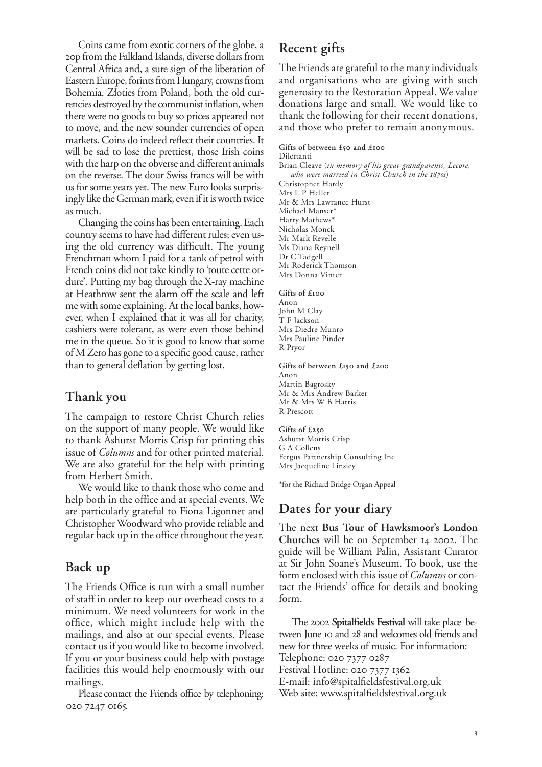Coins came from exotic corners of the globe, a p from the Falkland Islands, diverse dollars from Central Africa and, a sure sign of the liberation of Eastern Europe, forints from Hungary, crowns from Bohemia. Zloties from Poland, both the old currencies destroyed by the communist inflation, when there were no goods to buy so prices appeared not to move, and the new sounder currencies of open markets. Coins do indeed reflect their countries. It will be sad to lose the prettiest, those Irish coins with the harp on the obverse and different animals on the reverse. The dour Swiss francs will be with us for some years yet. The new Euro looks surprisingly like the German mark, even if it is worth twice as much.

Changing the coins has been entertaining. Each country seems to have had different rules; even using the old currency was difficult. The young Frenchman whom I paid for a tank of petrol with French coins did not take kindly to 'toute cette ordure'. Putting my bag through the X-ray machine at Heathrow sent the alarm off the scale and left me with some explaining. At the local banks, however, when I explained that it was all for charity, cashiers were tolerant, as were even those behind me in the queue. So it is good to know that some of M Zero has gone to a specific good cause, rather than to general deflation by getting lost.

## **Thank you**

The campaign to restore Christ Church relies on the support of many people. We would like to thank Ashurst Morris Crisp for printing this issue of *Columns* and for other printed material. We are also grateful for the help with printing from Herbert Smith.

We would like to thank those who come and help both in the office and at special events. We are particularly grateful to Fiona Ligonnet and Christopher Woodward who provide reliable and regular back up in the office throughout the year.

# **Back up**

The Friends Office is run with a small number of staff in order to keep our overhead costs to a minimum. We need volunteers for work in the office, which might include help with the mailings, and also at our special events. Please contact us if you would like to become involved. If you or your business could help with postage facilities this would help enormously with our mailings.

Please contact the Friends office by telephoning: 020 7247 0165.

# **Recent gifts**

The Friends are grateful to the many individuals and organisations who are giving with such generosity to the Restoration Appeal. We value donations large and small. We would like to thank the following for their recent donations, and those who prefer to remain anonymous.

#### Gifts of between £50 and £100 Dilettanti

Brian Cleave (*in memory of his great-grandparents, Lecore, who were married in Christ Church in the 1870s*) Christopher Hardy Mrs L P Heller Mr & Mrs Lawrance Hurst Michael Manser\* Harry Mathews' Nicholas Monck Mr Mark Revelle Ms Diana Reynell Dr C Tadgell Mr Roderick Thomson Mrs Donna Vinter

**Gifts of £** Anon John M Clay T F Jackson Mrs Diedre Munro Mrs Pauline Pinder R Pryor

R Prescott

#### Gifts of between £150 and £200 Anon Martin Bagrosky Mr & Mrs Andrew Barker Mr & Mrs W B Harris

**Gifts of £** Ashurst Morris Crisp G A Collens Fergus Partnership Consulting Inc Mrs Jacqueline Linsley

\*for the Richard Bridge Organ Appeal

# **Dates for your diary**

The next **Bus Tour of Hawksmoor's London Churches** will be on September 14 2002. The guide will be William Palin, Assistant Curator at Sir John Soane's Museum. To book, use the form enclosed with this issue of *Columns* or contact the Friends' office for details and booking form.

The 2002 Spitalfields Festival will take place between June 10 and 28 and welcomes old friends and new for three weeks of music. For information: Telephone: 020 7377 0287 Festival Hotline: 020 7377 1362 E-mail: info@spitalfieldsfestival.org.uk Web site: www.spitalfieldsfestival.org.uk